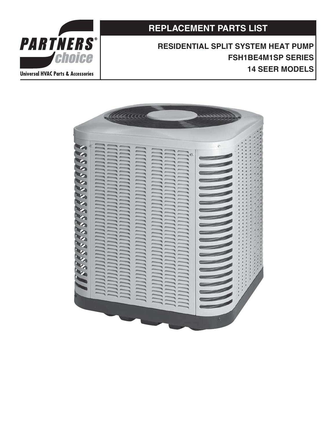**REPLACEMENT PARTS LIST**

**RESIDENTIAL SPLIT SYSTEM HEAT PUMP FSH1BE4M1SP SERIES 14 SEER MODELS**



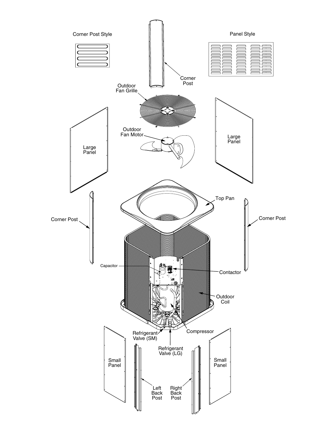